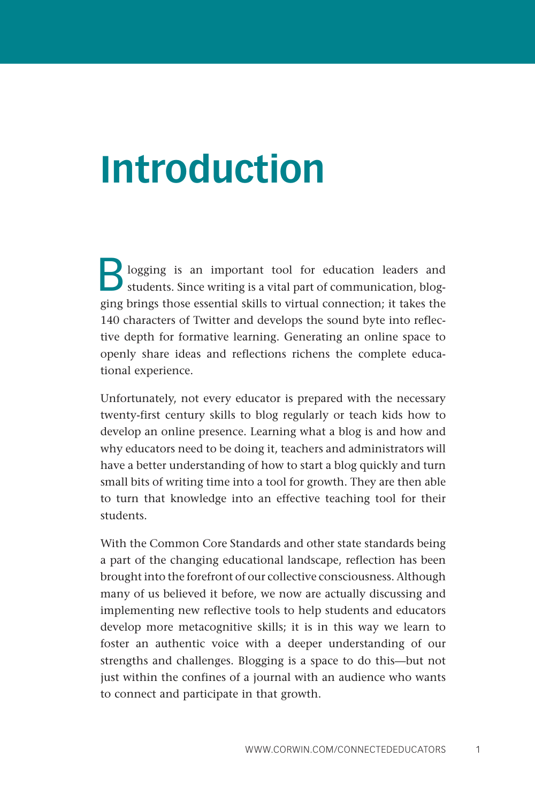## **Introduction**

Blogging is an important tool for education leaders and students. Since writing is a vital part of communication, blogging brings those essential skills to virtual connection; it takes the 140 characters of Twitter and develops the sound byte into reflective depth for formative learning. Generating an online space to openly share ideas and reflections richens the complete educational experience.

Unfortunately, not every educator is prepared with the necessary twenty-first century skills to blog regularly or teach kids how to develop an online presence. Learning what a blog is and how and why educators need to be doing it, teachers and administrators will have a better understanding of how to start a blog quickly and turn small bits of writing time into a tool for growth. They are then able to turn that knowledge into an effective teaching tool for their students.

With the Common Core Standards and other state standards being a part of the changing educational landscape, reflection has been brought into the forefront of our collective consciousness. Although many of us believed it before, we now are actually discussing and implementing new reflective tools to help students and educators develop more metacognitive skills; it is in this way we learn to foster an authentic voice with a deeper understanding of our strengths and challenges. Blogging is a space to do this—but not just within the confines of a journal with an audience who wants to connect and participate in that growth.